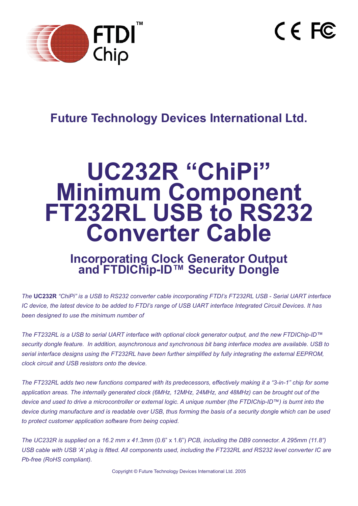

 $C \in FC$ 

# **Future Technology Devices International Ltd.**

# **UC232R "ChiPi" Minimum Component FT232RL USB to RS232 Converter Cable**

# **Incorporating Clock Generator Output and FTDIChip-ID™ Security Dongle**

*The* **UC232R** *"ChiPi" is a USB to RS232 converter cable incorporating FTDI's FT232RL USB - Serial UART interface IC device, the latest device to be added to FTDI's range of USB UART interface Integrated Circuit Devices. It has been designed to use the minimum number of* 

*The FT232RL is a USB to serial UART interface with optional clock generator output, and the new FTDIChip-ID™ security dongle feature. In addition, asynchronous and synchronous bit bang interface modes are available. USB to*  serial interface designs using the FT232RL have been further simplified by fully integrating the external EEPROM, *clock circuit and USB resistors onto the device.*

*The FT232RL adds two new functions compared with its predecessors, effectively making it a "3-in-1" chip for some application areas. The internally generated clock (6MHz, 12MHz, 24MHz, and 48MHz) can be brought out of the device and used to drive a microcontroller or external logic. A unique number (the FTDIChip-ID™) is burnt into the device during manufacture and is readable over USB, thus forming the basis of a security dongle which can be used to protect customer application software from being copied.*

*The UC232R is supplied on a 16.2 mm x 41.3mm* (0.6" x 1.6") *PCB, including the DB9 connector. A 295mm (11.8") USB cable with USB 'A' plug is fitted. All components used, including the FT232RL and RS232 level converter IC are Pb-free (RoHS compliant).*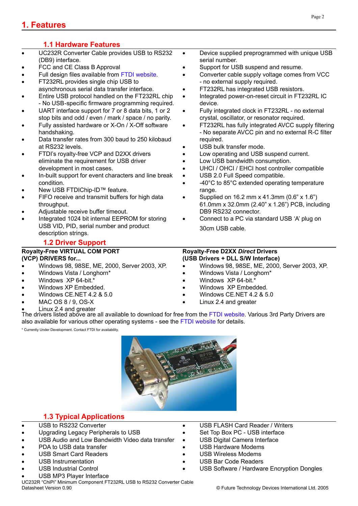#### **1.1 Hardware Features**

- UC232R Converter Cable provides USB to RS232 (DB9) interface.
- FCC and CE Class B Approval
- Full design files available from [FTDI website.](http://www.ftdichip.com)
- FT232RL provides single chip USB to asynchronous serial data transfer interface.
- Entire USB protocol handled on the FT232RL chip - No USB-specific firmware programming required.
- UART interface support for 7 or 8 data bits, 1 or 2 stop bits and odd / even / mark / space / no parity.
- Fully assisted hardware or X-On / X-Off software handshaking.
- Data transfer rates from 300 baud to 250 kilobaud at RS232 levels.
- FTDI's royalty-free VCP and D2XX drivers eliminate the requirement for USB driver development in most cases.
- In-built support for event characters and line break condition.
- New USB FTDIChip-ID™ feature.
- FIFO receive and transmit buffers for high data throughput.
- Adjustable receive buffer timeout.
- Integrated 1024 bit internal EEPROM for storing USB VID, PID, serial number and product description strings.

#### **1.2 Driver Support**

## **Royalty-Free VIRTUAL COM PORT**

- **(VCP) DRIVERS for...**
- Windows 98, 98SE, ME, 2000, Server 2003, XP.
- Windows Vista / Longhorn\*
- Windows XP 64-bit.\*
- Windows XP Embedded.
- Windows CE.NET 4.2 & 5.0
- MAC OS 8 / 9, OS-X
- Linux 2.4 and greater
- Device supplied preprogrammed with unique USB serial number.
- Support for USB suspend and resume.
- Converter cable supply voltage comes from VCC - no external supply required.
- FT232RL has integrated USB resistors.
- Integrated power-on-reset circuit in FT232RL IC device.
- Fully integrated clock in FT232RL no external crystal, oscillator, or resonator required.
- FT232RL has fully integrated AVCC supply filtering - No separate AVCC pin and no external R-C filter required.
- USB bulk transfer mode.
- Low operating and USB suspend current.
- Low USB bandwidth consumption.
- UHCI / OHCI / EHCI host controller compatible
- USB 2.0 Full Speed compatible.
- -40°C to 85°C extended operating temperature range.
- Supplied on 16.2 mm x 41.3mm (0.6" x 1.6") 61.0mm x 32.0mm (2.40" x 1.26") PCB, including DB9 RS232 connector.
- Connect to a PC via standard USB 'A' plug on 30cm USB cable.
- **Royalty-Free D2XX** *Direct* **Drivers (USB Drivers + DLL S/W Interface)**
- Windows 98, 98SE, ME, 2000, Server 2003, XP.
- Windows Vista / Longhorn\*
- Windows XP 64-bit.<sup>\*</sup>
- Windows XP Embedded.
- Windows CE.NET 4.2 & 5.0
- Linux 2.4 and greater

The drivers listed above are all available to download for free from the [FTDI website.](http://www.ftdichip.com) Various 3rd Party Drivers are also available for various other operating systems - see the [FTDI website](http://www.ftdichip.com) for details.

\* Currently Under Development. Contact FTDI for availability.



### **1.3 Typical Applications**

- USB to RS232 Converter
- Upgrading Legacy Peripherals to USB
- USB Audio and Low Bandwidth Video data transfer
- PDA to USB data transfer
- USB Smart Card Readers
- USB Instrumentation
- USB Industrial Control
- USB MP3 Player Interface

UC232R "ChiPi" Minimum Component FT232RL USB to RS232 Converter Cable Datasheet Version 0.90 © Future Technology Devices International Ltd. 2005

- USB FLASH Card Reader / Writers
- Set Top Box PC USB interface
- USB Digital Camera Interface
- USB Hardware Modems
- USB Wireless Modems
- USB Bar Code Readers
- USB Software / Hardware Encryption Dongles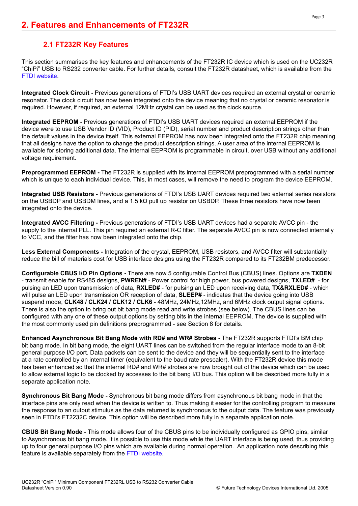#### **2.1 FT232R Key Features**

This section summarises the key features and enhancements of the FT232R IC device which is used on the UC232R "ChiPi" USB to RS232 converter cable. For further details, consult the FT232R datasheet, which is available from the [FTDI website.](http://www.ftdichip.com)

**Integrated Clock Circuit -** Previous generations of FTDI's USB UART devices required an external crystal or ceramic resonator. The clock circuit has now been integrated onto the device meaning that no crystal or ceramic resonator is required. However, if required, an external 12MHz crystal can be used as the clock source.

**Integrated EEPROM -** Previous generations of FTDI's USB UART devices required an external EEPROM if the device were to use USB Vendor ID (VID), Product ID (PID), serial number and product description strings other than the default values in the device itself. This external EEPROM has now been integrated onto the FT232R chip meaning that all designs have the option to change the product description strings. A user area of the internal EEPROM is available for storing additional data. The internal EEPROM is programmable in circuit, over USB without any additional voltage requirement.

**Preprogrammed EEPROM -** The FT232R is supplied with its internal EEPROM preprogrammed with a serial number which is unique to each individual device. This, in most cases, will remove the need to program the device EEPROM.

**Integrated USB Resistors -** Previous generations of FTDI's USB UART devices required two external series resistors on the USBDP and USBDM lines, and a 1.5 kΩ pull up resistor on USBDP. These three resistors have now been integrated onto the device.

**Integrated AVCC Filtering -** Previous generations of FTDI's USB UART devices had a separate AVCC pin - the supply to the internal PLL. This pin required an external R-C filter. The separate AVCC pin is now connected internally to VCC, and the filter has now been integrated onto the chip.

**Less External Components -** Integration of the crystal, EEPROM, USB resistors, and AVCC filter will substantially reduce the bill of materials cost for USB interface designs using the FT232R compared to its FT232BM predecessor.

**Configurable CBUS I/O Pin Options -** There are now 5 configurable Control Bus (CBUS) lines. Options are **TXDEN** - transmit enable for RS485 designs, **PWREN#** - Power control for high power, bus powered designs, **TXLED#** - for pulsing an LED upon transmission of data, **RXLED#** - for pulsing an LED upon receiving data, **TX&RXLED#** - which will pulse an LED upon transmission OR reception of data, **SLEEP#** - indicates that the device going into USB suspend mode, **CLK48 / CLK24 / CLK12 / CLK6** - 48MHz, 24MHz,12MHz, and 6MHz clock output signal options. There is also the option to bring out bit bang mode read and write strobes (see below). The CBUS lines can be configured with any one of these output options by setting bits in the internal EEPROM. The device is supplied with the most commonly used pin definitions preprogrammed - see Section 8 for details.

**Enhanced Asynchronous Bit Bang Mode with RD# and WR# Strobes -** The FT232R supports FTDI's BM chip bit bang mode. In bit bang mode, the eight UART lines can be switched from the regular interface mode to an 8-bit general purpose I/O port. Data packets can be sent to the device and they will be sequentially sent to the interface at a rate controlled by an internal timer (equivalent to the baud rate prescaler). With the FT232R device this mode has been enhanced so that the internal RD# and WR# strobes are now brought out of the device which can be used to allow external logic to be clocked by accesses to the bit bang I/O bus. This option will be described more fully in a separate application note.

**Synchronous Bit Bang Mode -** Synchronous bit bang mode differs from asynchronous bit bang mode in that the interface pins are only read when the device is written to. Thus making it easier for the controlling program to measure the response to an output stimulus as the data returned is synchronous to the output data. The feature was previously seen in FTDI's FT2232C device. This option will be described more fully in a separate application note.

**CBUS Bit Bang Mode -** This mode allows four of the CBUS pins to be individually configured as GPIO pins, similar to Asynchronous bit bang mode. It is possible to use this mode while the UART interface is being used, thus providing up to four general purpose I/O pins which are available during normal operation. An application note describing this feature is available separately from the [FTDI website](http://www.ftdichip.com).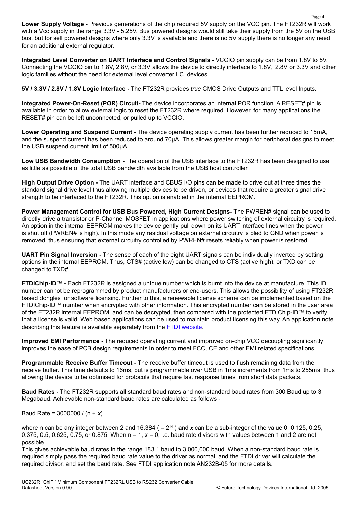**Lower Supply Voltage -** Previous generations of the chip required 5V supply on the VCC pin. The FT232R will work with a Vcc supply in the range 3.3V - 5.25V. Bus powered designs would still take their supply from the 5V on the USB bus, but for self powered designs where only 3.3V is available and there is no 5V supply there is no longer any need for an additional external regulator.

**Integrated Level Converter on UART Interface and Control Signals** - VCCIO pin supply can be from 1.8V to 5V. Connecting the VCCIO pin to 1.8V, 2.8V, or 3.3V allows the device to directly interface to 1.8V, 2.8V or 3.3V and other logic families without the need for external level converter I.C. devices.

**5V / 3.3V / 2.8V / 1.8V Logic Interface -** The FT232R provides *true* CMOS Drive Outputs and TTL level Inputs.

**Integrated Power-On-Reset (POR) Circuit-** The device incorporates an internal POR function. A RESET# pin is available in order to allow external logic to reset the FT232R where required. However, for many applications the RESET# pin can be left unconnected, or pulled up to VCCIO.

**Lower Operating and Suspend Current -** The device operating supply current has been further reduced to 15mA, and the suspend current has been reduced to around 70μA. This allows greater margin for peripheral designs to meet the USB suspend current limit of 500μA.

**Low USB Bandwidth Consumption -** The operation of the USB interface to the FT232R has been designed to use as little as possible of the total USB bandwidth available from the USB host controller.

**High Output Drive Option -** The UART interface and CBUS I/O pins can be made to drive out at three times the standard signal drive level thus allowing multiple devices to be driven, or devices that require a greater signal drive strength to be interfaced to the FT232R. This option is enabled in the internal EEPROM.

**Power Management Control for USB Bus Powered, High Current Designs-** The PWREN# signal can be used to directly drive a transistor or P-Channel MOSFET in applications where power switching of external circuitry is required. An option in the internal EEPROM makes the device gently pull down on its UART interface lines when the power is shut off (PWREN# is high). In this mode any residual voltage on external circuitry is bled to GND when power is removed, thus ensuring that external circuitry controlled by PWREN# resets reliably when power is restored.

**UART Pin Signal Inversion -** The sense of each of the eight UART signals can be individually inverted by setting options in the internal EEPROM. Thus, CTS# (active low) can be changed to CTS (active high), or TXD can be changed to TXD#.

**FTDIChip-ID™ -** Each FT232R is assigned a unique number which is burnt into the device at manufacture. This ID number cannot be reprogrammed by product manufacturers or end-users. This allows the possibility of using FT232R based dongles for software licensing. Further to this, a renewable license scheme can be implemented based on the FTDIChip-ID™ number when encrypted with other information. This encrypted number can be stored in the user area of the FT232R internal EEPROM, and can be decrypted, then compared with the protected FTDIChip-ID™ to verify that a license is valid. Web based applications can be used to maintain product licensing this way. An application note describing this feature is available separately from the [FTDI website](http://www.ftdichip.com).

**Improved EMI Performance -** The reduced operating current and improved on-chip VCC decoupling significantly improves the ease of PCB design requirements in order to meet FCC, CE and other EMI related specifications.

**Programmable Receive Buffer Timeout -** The receive buffer timeout is used to flush remaining data from the receive buffer. This time defaults to 16ms, but is programmable over USB in 1ms increments from 1ms to 255ms, thus allowing the device to be optimised for protocols that require fast response times from short data packets.

**Baud Rates -** The FT232R supports all standard baud rates and non-standard baud rates from 300 Baud up to 3 Megabaud. Achievable non-standard baud rates are calculated as follows -

Baud Rate = 3000000 / (n + *x*)

where n can be any integer between 2 and 16,384 ( =  $2^{14}$  ) and x can be a sub-integer of the value 0, 0.125, 0.25, 0.375, 0.5, 0.625, 0.75, or 0.875. When n = 1, *x* = 0, i.e. baud rate divisors with values between 1 and 2 are not possible.

This gives achievable baud rates in the range 183.1 baud to 3,000,000 baud. When a non-standard baud rate is required simply pass the required baud rate value to the driver as normal, and the FTDI driver will calculate the required divisor, and set the baud rate. See FTDI application note AN232B-05 for more details.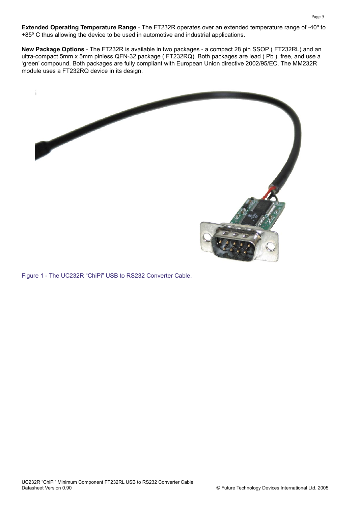**Extended Operating Temperature Range** - The FT232R operates over an extended temperature range of -40º to +85º C thus allowing the device to be used in automotive and industrial applications.

**New Package Options** - The FT232R is available in two packages - a compact 28 pin SSOP ( FT232RL) and an ultra-compact 5mm x 5mm pinless QFN-32 package ( FT232RQ). Both packages are lead ( Pb ) free, and use a 'green' compound. Both packages are fully compliant with European Union directive 2002/95/EC. The MM232R module uses a FT232RQ device in its design.



Figure 1 - The UC232R "ChiPi" USB to RS232 Converter Cable.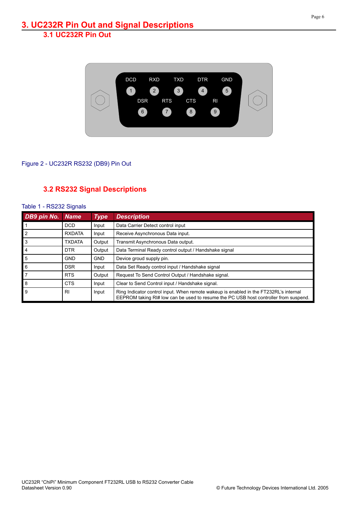

#### Figure 2 - UC232R RS232 (DB9) Pin Out

#### **3.2 RS232 Signal Descriptions**

| DB9 pin No. | <b>Name</b>   | <b>Type</b> | <b>Description</b>                                                                                                                                                            |  |
|-------------|---------------|-------------|-------------------------------------------------------------------------------------------------------------------------------------------------------------------------------|--|
|             | <b>DCD</b>    | Input       | Data Carrier Detect control input                                                                                                                                             |  |
|             | <b>RXDATA</b> | Input       | Receive Asynchronous Data input.                                                                                                                                              |  |
| 3           | <b>TXDATA</b> | Output      | Transmit Asynchronous Data output.                                                                                                                                            |  |
|             | <b>DTR</b>    | Output      | Data Terminal Ready control output / Handshake signal                                                                                                                         |  |
| 5           | <b>GND</b>    | <b>GND</b>  | Device groud supply pin.                                                                                                                                                      |  |
| 6           | <b>DSR</b>    | Input       | Data Set Ready control input / Handshake signal                                                                                                                               |  |
|             | <b>RTS</b>    | Output      | Request To Send Control Output / Handshake signal.                                                                                                                            |  |
| 8           | <b>CTS</b>    | Input       | Clear to Send Control input / Handshake signal.                                                                                                                               |  |
| 9           | <b>RI</b>     | Input       | Ring Indicator control input. When remote wakeup is enabled in the FT232RL's internal<br>EEPROM taking RI# low can be used to resume the PC USB host controller from suspend. |  |

#### Table 1 - RS232 Signals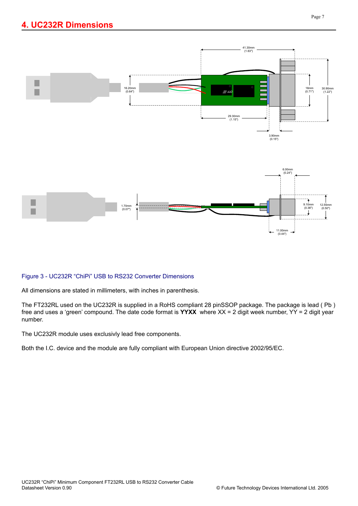

#### Figure 3 - UC232R "ChiPi" USB to RS232 Converter Dimensions

All dimensions are stated in millimeters, with inches in parenthesis.

The FT232RL used on the UC232R is supplied in a RoHS compliant 28 pinSSOP package. The package is lead ( Pb ) free and uses a 'green' compound. The date code format is **YYXX** where XX = 2 digit week number, YY = 2 digit year number.

The UC232R module uses exclusivly lead free components.

Both the I.C. device and the module are fully compliant with European Union directive 2002/95/EC.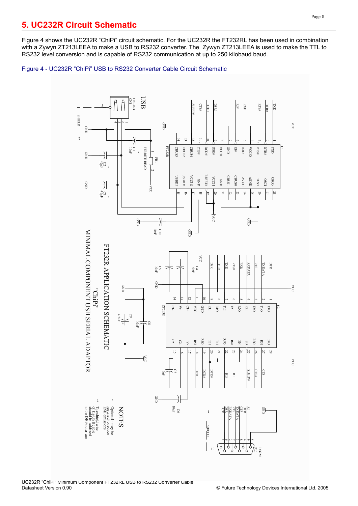Figure 4 shows the UC232R "ChiPi" circuit schematic. For the UC232R the FT232RL has been used in combination with a Zywyn ZT213LEEA to make a USB to RS232 converter. The Zywyn ZT213LEEA is used to make the TTL to RS232 level conversion and is capable of RS232 communication at up to 250 kilobaud baud.

Figure 4 - UC232R "ChiPi" USB to RS232 Converter Cable Circuit Schematic

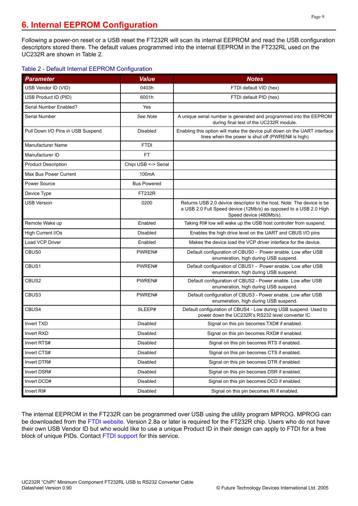Following a power-on reset or a USB reset the FT232R will scan its internal EEPROM and read the USB configuration descriptors stored there. The default values programmed into the internal EEPROM in the FT232RL used on the UC232R are shown in Table 2.

#### Table 2 - Default Internal EEPROM Configuration

| <b>Parameter</b>                  | <b>Value</b>         | <b>Notes</b>                                                                                                                                                          |
|-----------------------------------|----------------------|-----------------------------------------------------------------------------------------------------------------------------------------------------------------------|
| USB Vendor ID (VID)               | 0403h                | FTDI default VID (hex)                                                                                                                                                |
| USB Product ID (PID)              | 6001h                | FTDI default PID (hex)                                                                                                                                                |
| Serial Number Enabled?            | Yes                  |                                                                                                                                                                       |
| Serial Number                     | See Note             | A unique serial number is generated and programmed into the EEPROM<br>during final test of the UC232R module.                                                         |
| Pull Down I/O Pins in USB Suspend | Disabled             | Enabling this option will make the device pull down on the UART interface<br>lines when the power is shut off (PWREN# is high)                                        |
| <b>Manufacturer Name</b>          | <b>FTDI</b>          |                                                                                                                                                                       |
| Manufacturer ID                   | FT.                  |                                                                                                                                                                       |
| <b>Product Description</b>        | Chipi USB <-> Serial |                                                                                                                                                                       |
| Max Bus Power Current             | 100mA                |                                                                                                                                                                       |
| Power Source                      | <b>Bus Powered</b>   |                                                                                                                                                                       |
| Device Type                       | <b>FT232R</b>        |                                                                                                                                                                       |
| <b>USB Version</b>                | 0200                 | Returns USB 2.0 device descriptor to the host. Note: The device is be<br>a USB 2.0 Full Speed device (12Mb/s) as opposed to a USB 2.0 High<br>Speed device (480Mb/s). |
| Remote Wake up                    | Enabled              | Taking RI# low will wake up the USB host controller from suspend.                                                                                                     |
| High Current I/Os                 | <b>Disabled</b>      | Enables the high drive level on the UART and CBUS I/O pins                                                                                                            |
| Load VCP Driver                   | Enabled              | Makes the device load the VCP driver interface for the device.                                                                                                        |
| CBUS0                             | PWREN#               | Default configuration of CBUS0 - Power enable. Low after USB<br>enumeration, high during USB suspend.                                                                 |
| CBUS1                             | PWREN#               | Default configuration of CBUS1 - Power enable. Low after USB<br>enumeration, high during USB suspend.                                                                 |
| CBUS2                             | PWREN#               | Default configuration of CBUS2 - Power enable. Low after USB<br>enumeration, high during USB suspend.                                                                 |
| CBUS3                             | PWREN#               | Default configuration of CBUS3 - Power enable. Low after USB<br>enumeration, high during USB suspend.                                                                 |
| CBUS4                             | SLEEP#               | Default configuration of CBUS4 - Low during USB suspend. Used to<br>power down the UC232R's RS232 level converter IC.                                                 |
| <b>Invert TXD</b>                 | Disabled             | Signal on this pin becomes TXD# if enabled.                                                                                                                           |
| Invert RXD                        | Disabled             | Signal on this pin becomes RXD# if enabled.                                                                                                                           |
| Invert RTS#                       | Disabled             | Signal on this pin becomes RTS if enabled.                                                                                                                            |
| Invert CTS#                       | Disabled             | Signal on this pin becomes CTS if enabled.                                                                                                                            |
| Invert DTR#                       | Disabled             | Signal on this pin becomes DTR if enabled.                                                                                                                            |
| Invert DSR#                       | Disabled             | Signal on this pin becomes DSR if enabled.                                                                                                                            |
| Invert DCD#                       | Disabled             | Signal on this pin becomes DCD if enabled.                                                                                                                            |
| Invert RI#                        | Disabled             | Signal on this pin becomes RI if enabled.                                                                                                                             |

The internal EEPROM in the FT232R can be programmed over USB using the utility program MPROG. MPROG can be downloaded from the [FTDI website.](http://www.ftdichip.com) Version 2.8a or later is required for the FT232R chip. Users who do not have their own USB Vendor ID but who would like to use a unique Product ID in their design can apply to FTDI for a free block of unique PIDs. Contact [FTDI support](mailto:support1@ftdichip.com) for this service.